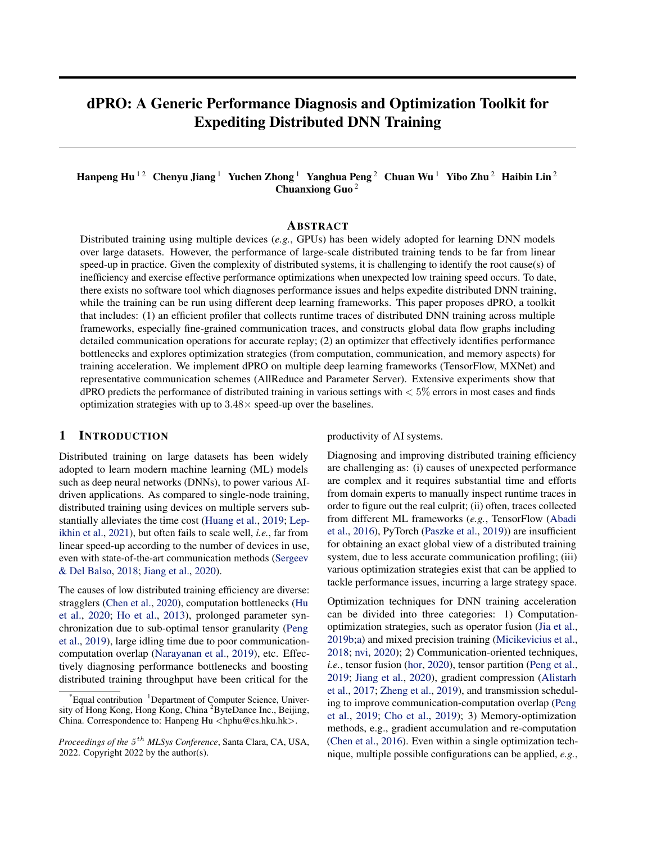# dPRO: A Generic Performance Diagnosis and Optimization Toolkit for Expediting Distributed DNN Training

## Hanpeng Hu<sup>12</sup> Chenyu Jiang<sup>1</sup> Yuchen Zhong<sup>1</sup> Yanghua Peng<sup>2</sup> Chuan Wu<sup>1</sup> Yibo Zhu<sup>2</sup> Haibin Lin<sup>2</sup> Chuanxiong Guo <sup>2</sup>

#### ABSTRACT

Distributed training using multiple devices (*e.g.*, GPUs) has been widely adopted for learning DNN models over large datasets. However, the performance of large-scale distributed training tends to be far from linear speed-up in practice. Given the complexity of distributed systems, it is challenging to identify the root cause(s) of inefficiency and exercise effective performance optimizations when unexpected low training speed occurs. To date, there exists no software tool which diagnoses performance issues and helps expedite distributed DNN training, while the training can be run using different deep learning frameworks. This paper proposes dPRO, a toolkit that includes: (1) an efficient profiler that collects runtime traces of distributed DNN training across multiple frameworks, especially fine-grained communication traces, and constructs global data flow graphs including detailed communication operations for accurate replay; (2) an optimizer that effectively identifies performance bottlenecks and explores optimization strategies (from computation, communication, and memory aspects) for training acceleration. We implement dPRO on multiple deep learning frameworks (TensorFlow, MXNet) and representative communication schemes (AllReduce and Parameter Server). Extensive experiments show that  $dPRO$  predicts the performance of distributed training in various settings with  $\lt 5\%$  errors in most cases and finds optimization strategies with up to  $3.48\times$  speed-up over the baselines.

### 1 INTRODUCTION

Distributed training on large datasets has been widely adopted to learn modern machine learning (ML) models such as deep neural networks (DNNs), to power various AIdriven applications. As compared to single-node training, distributed training using devices on multiple servers substantially alleviates the time cost [\(Huang et al.,](#page-11-0) [2019;](#page-11-0) [Lep](#page-11-0)[ikhin et al.,](#page-11-0) [2021\)](#page-11-0), but often fails to scale well, *i.e.*, far from linear speed-up according to the number of devices in use, even with state-of-the-art communication methods [\(Sergeev](#page-12-0) [& Del Balso,](#page-12-0) [2018;](#page-12-0) [Jiang et al.,](#page-11-0) [2020\)](#page-11-0).

The causes of low distributed training efficiency are diverse: stragglers [\(Chen et al.,](#page-10-0) [2020\)](#page-10-0), computation bottlenecks [\(Hu](#page-11-0) [et al.,](#page-11-0) [2020;](#page-11-0) [Ho et al.,](#page-11-0) [2013\)](#page-11-0), prolonged parameter synchronization due to sub-optimal tensor granularity [\(Peng](#page-12-0) [et al.,](#page-12-0) [2019\)](#page-12-0), large idling time due to poor communicationcomputation overlap [\(Narayanan et al.,](#page-11-0) [2019\)](#page-11-0), etc. Effectively diagnosing performance bottlenecks and boosting distributed training throughput have been critical for the

productivity of AI systems.

Diagnosing and improving distributed training efficiency are challenging as: (i) causes of unexpected performance are complex and it requires substantial time and efforts from domain experts to manually inspect runtime traces in order to figure out the real culprit; (ii) often, traces collected from different ML frameworks (*e.g.*, TensorFlow [\(Abadi](#page-10-0) [et al.,](#page-10-0) [2016\)](#page-10-0), PyTorch [\(Paszke et al.,](#page-12-0) [2019\)](#page-12-0)) are insufficient for obtaining an exact global view of a distributed training system, due to less accurate communication profiling; (iii) various optimization strategies exist that can be applied to tackle performance issues, incurring a large strategy space.

Optimization techniques for DNN training acceleration can be divided into three categories: 1) Computationoptimization strategies, such as operator fusion [\(Jia et al.,](#page-11-0) [2019b;a\)](#page-11-0) and mixed precision training [\(Micikevicius et al.,](#page-11-0) [2018;](#page-11-0) [nvi,](#page-10-0) [2020\)](#page-10-0); 2) Communication-oriented techniques, *i.e.*, tensor fusion [\(hor,](#page-10-0) [2020\)](#page-10-0), tensor partition [\(Peng et al.,](#page-12-0) [2019;](#page-12-0) [Jiang et al.,](#page-11-0) [2020\)](#page-11-0), gradient compression [\(Alistarh](#page-10-0) [et al.,](#page-10-0) [2017;](#page-10-0) [Zheng et al.,](#page-12-0) [2019\)](#page-12-0), and transmission scheduling to improve communication-computation overlap [\(Peng](#page-12-0) [et al.,](#page-12-0) [2019;](#page-12-0) [Cho et al.,](#page-10-0) [2019\)](#page-10-0); 3) Memory-optimization methods, e.g., gradient accumulation and re-computation [\(Chen et al.,](#page-10-0) [2016\)](#page-10-0). Even within a single optimization technique, multiple possible configurations can be applied, *e.g.*,

 $*$ Equal contribution  ${}^{1}$ Department of Computer Science, University of Hong Kong, Hong Kong, China <sup>2</sup>ByteDance Inc., Beijing, China. Correspondence to: Hanpeng Hu <hphu@cs.hku.hk>.

*Proceedings of the* 5 th *MLSys Conference*, Santa Clara, CA, USA, 2022. Copyright 2022 by the author(s).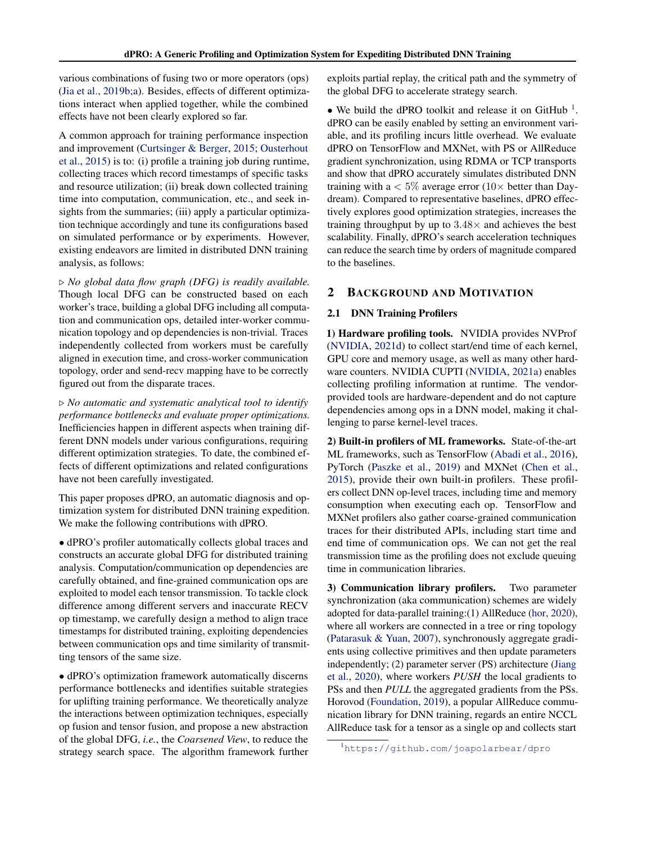various combinations of fusing two or more operators (ops) [\(Jia et al.,](#page-11-0) [2019b;a\)](#page-11-0). Besides, effects of different optimizations interact when applied together, while the combined effects have not been clearly explored so far.

A common approach for training performance inspection and improvement [\(Curtsinger & Berger,](#page-10-0) [2015;](#page-10-0) [Ousterhout](#page-12-0) [et al.,](#page-12-0) [2015\)](#page-12-0) is to: (i) profile a training job during runtime, collecting traces which record timestamps of specific tasks and resource utilization; (ii) break down collected training time into computation, communication, etc., and seek insights from the summaries; (iii) apply a particular optimization technique accordingly and tune its configurations based on simulated performance or by experiments. However, existing endeavors are limited in distributed DNN training analysis, as follows:

. *No global data flow graph (DFG) is readily available.* Though local DFG can be constructed based on each worker's trace, building a global DFG including all computation and communication ops, detailed inter-worker communication topology and op dependencies is non-trivial. Traces independently collected from workers must be carefully aligned in execution time, and cross-worker communication topology, order and send-recv mapping have to be correctly figured out from the disparate traces.

. *No automatic and systematic analytical tool to identify performance bottlenecks and evaluate proper optimizations.* Inefficiencies happen in different aspects when training different DNN models under various configurations, requiring different optimization strategies. To date, the combined effects of different optimizations and related configurations have not been carefully investigated.

This paper proposes dPRO, an automatic diagnosis and optimization system for distributed DNN training expedition. We make the following contributions with dPRO.

• dPRO's profiler automatically collects global traces and constructs an accurate global DFG for distributed training analysis. Computation/communication op dependencies are carefully obtained, and fine-grained communication ops are exploited to model each tensor transmission. To tackle clock difference among different servers and inaccurate RECV op timestamp, we carefully design a method to align trace timestamps for distributed training, exploiting dependencies between communication ops and time similarity of transmitting tensors of the same size.

• dPRO's optimization framework automatically discerns performance bottlenecks and identifies suitable strategies for uplifting training performance. We theoretically analyze the interactions between optimization techniques, especially op fusion and tensor fusion, and propose a new abstraction of the global DFG, *i.e.*, the *Coarsened View*, to reduce the strategy search space. The algorithm framework further exploits partial replay, the critical path and the symmetry of the global DFG to accelerate strategy search.

• We build the dPRO toolkit and release it on GitHub<sup>1</sup>. dPRO can be easily enabled by setting an environment variable, and its profiling incurs little overhead. We evaluate dPRO on TensorFlow and MXNet, with PS or AllReduce gradient synchronization, using RDMA or TCP transports and show that dPRO accurately simulates distributed DNN training with a  $< 5\%$  average error (10 $\times$  better than Daydream). Compared to representative baselines, dPRO effectively explores good optimization strategies, increases the training throughput by up to  $3.48\times$  and achieves the best scalability. Finally, dPRO's search acceleration techniques can reduce the search time by orders of magnitude compared to the baselines.

## 2 BACKGROUND AND MOTIVATION

#### 2.1 DNN Training Profilers

1) Hardware profiling tools. NVIDIA provides NVProf [\(NVIDIA,](#page-12-0) [2021d\)](#page-12-0) to collect start/end time of each kernel, GPU core and memory usage, as well as many other hardware counters. NVIDIA CUPTI [\(NVIDIA,](#page-12-0) [2021a\)](#page-12-0) enables collecting profiling information at runtime. The vendorprovided tools are hardware-dependent and do not capture dependencies among ops in a DNN model, making it challenging to parse kernel-level traces.

2) Built-in profilers of ML frameworks. State-of-the-art ML frameworks, such as TensorFlow [\(Abadi et al.,](#page-10-0) [2016\)](#page-10-0), PyTorch [\(Paszke et al.,](#page-12-0) [2019\)](#page-12-0) and MXNet [\(Chen et al.,](#page-10-0) [2015\)](#page-10-0), provide their own built-in profilers. These profilers collect DNN op-level traces, including time and memory consumption when executing each op. TensorFlow and MXNet profilers also gather coarse-grained communication traces for their distributed APIs, including start time and end time of communication ops. We can not get the real transmission time as the profiling does not exclude queuing time in communication libraries.

3) Communication library profilers. Two parameter synchronization (aka communication) schemes are widely adopted for data-parallel training:(1) AllReduce [\(hor,](#page-10-0) [2020\)](#page-10-0), where all workers are connected in a tree or ring topology [\(Patarasuk & Yuan,](#page-12-0) [2007\)](#page-12-0), synchronously aggregate gradients using collective primitives and then update parameters independently; (2) parameter server (PS) architecture [\(Jiang](#page-11-0) [et al.,](#page-11-0) [2020\)](#page-11-0), where workers *PUSH* the local gradients to PSs and then *PULL* the aggregated gradients from the PSs. Horovod [\(Foundation,](#page-11-0) [2019\)](#page-11-0), a popular AllReduce communication library for DNN training, regards an entire NCCL AllReduce task for a tensor as a single op and collects start

<sup>1</sup><https://github.com/joapolarbear/dpro>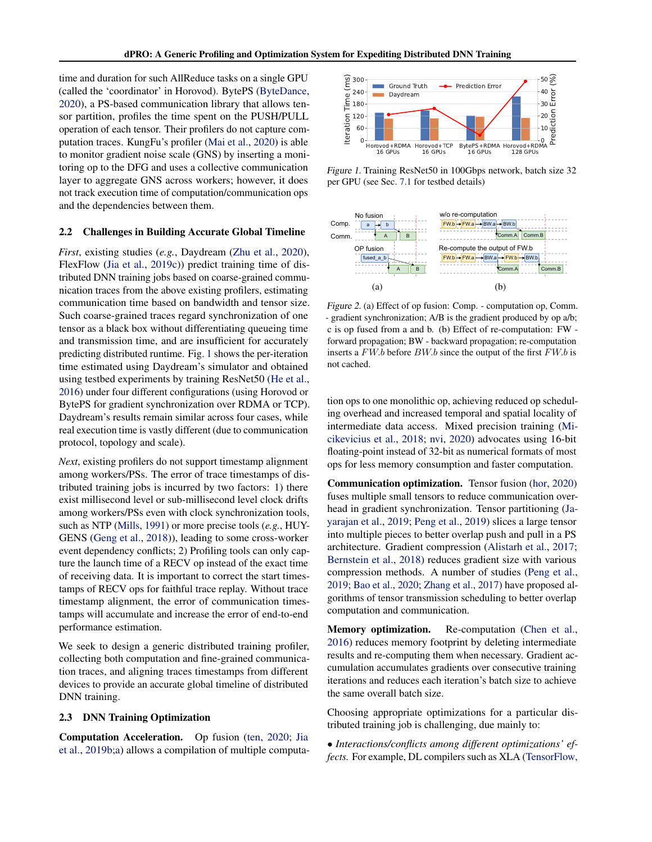<span id="page-2-0"></span>time and duration for such AllReduce tasks on a single GPU (called the 'coordinator' in Horovod). BytePS [\(ByteDance,](#page-10-0) [2020\)](#page-10-0), a PS-based communication library that allows tensor partition, profiles the time spent on the PUSH/PULL operation of each tensor. Their profilers do not capture computation traces. KungFu's profiler [\(Mai et al.,](#page-11-0) [2020\)](#page-11-0) is able to monitor gradient noise scale (GNS) by inserting a monitoring op to the DFG and uses a collective communication layer to aggregate GNS across workers; however, it does not track execution time of computation/communication ops and the dependencies between them.

#### 2.2 Challenges in Building Accurate Global Timeline

*First*, existing studies (*e.g.*, Daydream [\(Zhu et al.,](#page-12-0) [2020\)](#page-12-0), FlexFlow [\(Jia et al.,](#page-11-0) [2019c\)](#page-11-0)) predict training time of distributed DNN training jobs based on coarse-grained communication traces from the above existing profilers, estimating communication time based on bandwidth and tensor size. Such coarse-grained traces regard synchronization of one tensor as a black box without differentiating queueing time and transmission time, and are insufficient for accurately predicting distributed runtime. Fig. 1 shows the per-iteration time estimated using Daydream's simulator and obtained using testbed experiments by training ResNet50 [\(He et al.,](#page-11-0) [2016\)](#page-11-0) under four different configurations (using Horovod or BytePS for gradient synchronization over RDMA or TCP). Daydream's results remain similar across four cases, while real execution time is vastly different (due to communication protocol, topology and scale).

*Next*, existing profilers do not support timestamp alignment among workers/PSs. The error of trace timestamps of distributed training jobs is incurred by two factors: 1) there exist millisecond level or sub-millisecond level clock drifts among workers/PSs even with clock synchronization tools, such as NTP [\(Mills,](#page-11-0) [1991\)](#page-11-0) or more precise tools (*e.g.*, HUY-GENS [\(Geng et al.,](#page-11-0) [2018\)](#page-11-0)), leading to some cross-worker event dependency conflicts; 2) Profiling tools can only capture the launch time of a RECV op instead of the exact time of receiving data. It is important to correct the start timestamps of RECV ops for faithful trace replay. Without trace timestamp alignment, the error of communication timestamps will accumulate and increase the error of end-to-end performance estimation.

We seek to design a generic distributed training profiler, collecting both computation and fine-grained communication traces, and aligning traces timestamps from different devices to provide an accurate global timeline of distributed DNN training.

#### 2.3 DNN Training Optimization

Computation Acceleration. Op fusion [\(ten,](#page-10-0) [2020;](#page-10-0) [Jia](#page-11-0) [et al.,](#page-11-0) [2019b;a\)](#page-11-0) allows a compilation of multiple computa-



Figure 1. Training ResNet50 in 100Gbps network, batch size 32 per GPU (see Sec. [7.1](#page-7-0) for testbed details)



Figure 2. (a) Effect of op fusion: Comp. - computation op, Comm. - gradient synchronization; A/B is the gradient produced by op a/b; c is op fused from a and b. (b) Effect of re-computation: FW forward propagation; BW - backward propagation; re-computation inserts a  $FW.b$  before  $BW.b$  since the output of the first  $FW.b$  is not cached.

tion ops to one monolithic op, achieving reduced op scheduling overhead and increased temporal and spatial locality of intermediate data access. Mixed precision training [\(Mi](#page-11-0)[cikevicius et al.,](#page-11-0) [2018;](#page-11-0) [nvi,](#page-10-0) [2020\)](#page-10-0) advocates using 16-bit floating-point instead of 32-bit as numerical formats of most ops for less memory consumption and faster computation.

Communication optimization. Tensor fusion [\(hor,](#page-10-0) [2020\)](#page-10-0) fuses multiple small tensors to reduce communication overhead in gradient synchronization. Tensor partitioning [\(Ja](#page-11-0)[yarajan et al.,](#page-11-0) [2019;](#page-11-0) [Peng et al.,](#page-12-0) [2019\)](#page-12-0) slices a large tensor into multiple pieces to better overlap push and pull in a PS architecture. Gradient compression [\(Alistarh et al.,](#page-10-0) [2017;](#page-10-0) [Bernstein et al.,](#page-10-0) [2018\)](#page-10-0) reduces gradient size with various compression methods. A number of studies [\(Peng et al.,](#page-12-0) [2019;](#page-12-0) [Bao et al.,](#page-10-0) [2020;](#page-10-0) [Zhang et al.,](#page-12-0) [2017\)](#page-12-0) have proposed algorithms of tensor transmission scheduling to better overlap computation and communication.

Memory optimization. Re-computation [\(Chen et al.,](#page-10-0) [2016\)](#page-10-0) reduces memory footprint by deleting intermediate results and re-computing them when necessary. Gradient accumulation accumulates gradients over consecutive training iterations and reduces each iteration's batch size to achieve the same overall batch size.

Choosing appropriate optimizations for a particular distributed training job is challenging, due mainly to:

• *Interactions/conflicts among different optimizations' effects.* For example, DL compilers such as XLA [\(TensorFlow,](#page-12-0)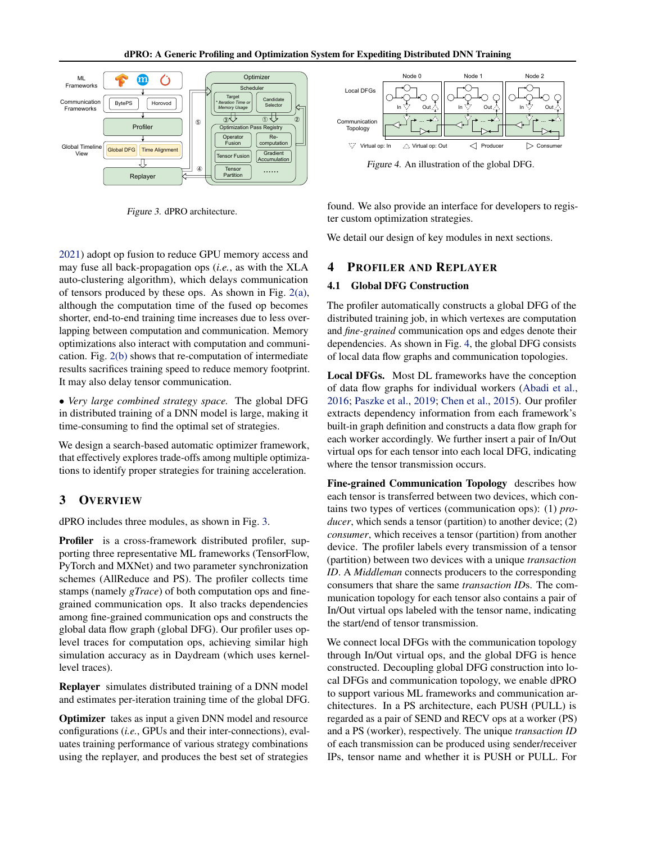<span id="page-3-0"></span>

Figure 3. dPRO architecture.

[2021\)](#page-12-0) adopt op fusion to reduce GPU memory access and may fuse all back-propagation ops (*i.e.*, as with the XLA auto-clustering algorithm), which delays communication of tensors produced by these ops. As shown in Fig. [2\(a\),](#page-2-0) although the computation time of the fused op becomes shorter, end-to-end training time increases due to less overlapping between computation and communication. Memory optimizations also interact with computation and communication. Fig. [2\(b\)](#page-2-0) shows that re-computation of intermediate results sacrifices training speed to reduce memory footprint. It may also delay tensor communication.

• *Very large combined strategy space.* The global DFG in distributed training of a DNN model is large, making it time-consuming to find the optimal set of strategies.

We design a search-based automatic optimizer framework, that effectively explores trade-offs among multiple optimizations to identify proper strategies for training acceleration.

#### 3 OVERVIEW

dPRO includes three modules, as shown in Fig. 3.

Profiler is a cross-framework distributed profiler, supporting three representative ML frameworks (TensorFlow, PyTorch and MXNet) and two parameter synchronization schemes (AllReduce and PS). The profiler collects time stamps (namely *gTrace*) of both computation ops and finegrained communication ops. It also tracks dependencies among fine-grained communication ops and constructs the global data flow graph (global DFG). Our profiler uses oplevel traces for computation ops, achieving similar high simulation accuracy as in Daydream (which uses kernellevel traces).

Replayer simulates distributed training of a DNN model and estimates per-iteration training time of the global DFG.

Optimizer takes as input a given DNN model and resource configurations (*i.e.*, GPUs and their inter-connections), evaluates training performance of various strategy combinations using the replayer, and produces the best set of strategies



Figure 4. An illustration of the global DFG.

found. We also provide an interface for developers to register custom optimization strategies.

We detail our design of key modules in next sections.

## 4 PROFILER AND REPLAYER

#### 4.1 Global DFG Construction

The profiler automatically constructs a global DFG of the distributed training job, in which vertexes are computation and *fine-grained* communication ops and edges denote their dependencies. As shown in Fig. 4, the global DFG consists of local data flow graphs and communication topologies.

Local DFGs. Most DL frameworks have the conception of data flow graphs for individual workers [\(Abadi et al.,](#page-10-0) [2016;](#page-10-0) [Paszke et al.,](#page-12-0) [2019;](#page-12-0) [Chen et al.,](#page-10-0) [2015\)](#page-10-0). Our profiler extracts dependency information from each framework's built-in graph definition and constructs a data flow graph for each worker accordingly. We further insert a pair of In/Out virtual ops for each tensor into each local DFG, indicating where the tensor transmission occurs.

Fine-grained Communication Topology describes how each tensor is transferred between two devices, which contains two types of vertices (communication ops): (1) *producer*, which sends a tensor (partition) to another device; (2) *consumer*, which receives a tensor (partition) from another device. The profiler labels every transmission of a tensor (partition) between two devices with a unique *transaction ID*. A *Middleman* connects producers to the corresponding consumers that share the same *transaction ID*s. The communication topology for each tensor also contains a pair of In/Out virtual ops labeled with the tensor name, indicating the start/end of tensor transmission.

We connect local DFGs with the communication topology through In/Out virtual ops, and the global DFG is hence constructed. Decoupling global DFG construction into local DFGs and communication topology, we enable dPRO to support various ML frameworks and communication architectures. In a PS architecture, each PUSH (PULL) is regarded as a pair of SEND and RECV ops at a worker (PS) and a PS (worker), respectively. The unique *transaction ID* of each transmission can be produced using sender/receiver IPs, tensor name and whether it is PUSH or PULL. For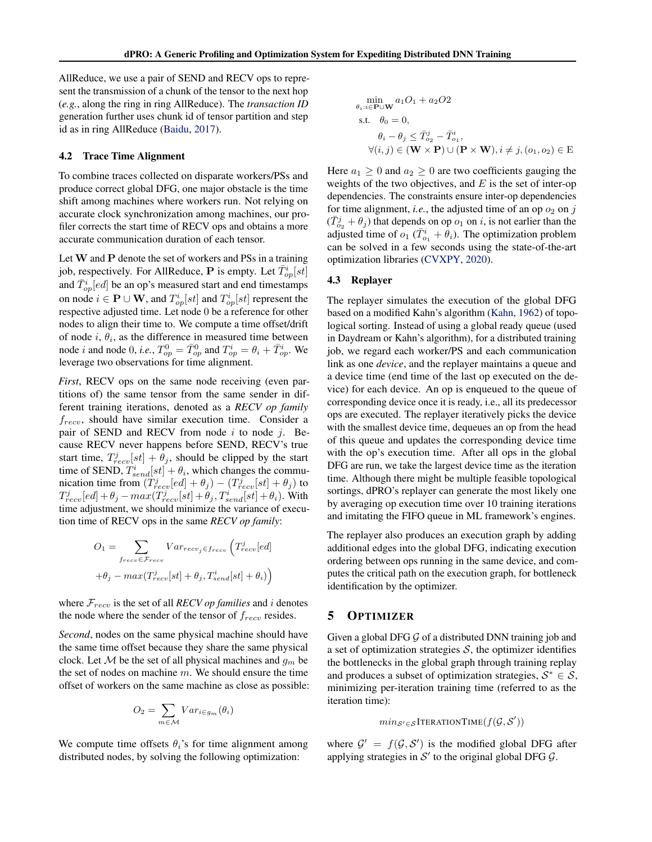AllReduce, we use a pair of SEND and RECV ops to represent the transmission of a chunk of the tensor to the next hop (*e.g.*, along the ring in ring AllReduce). The *transaction ID* generation further uses chunk id of tensor partition and step id as in ring AllReduce [\(Baidu,](#page-10-0) [2017\)](#page-10-0).

#### 4.2 Trace Time Alignment

To combine traces collected on disparate workers/PSs and produce correct global DFG, one major obstacle is the time shift among machines where workers run. Not relying on accurate clock synchronization among machines, our profiler corrects the start time of RECV ops and obtains a more accurate communication duration of each tensor.

Let  $W$  and  $P$  denote the set of workers and PSs in a training job, respectively. For AllReduce, P is empty. Let  $\bar{T}^i_{op}[st]$ and  $\bar{T}_{op}^i[ed]$  be an op's measured start and end timestamps on node  $i \in \mathbf{P} \cup \mathbf{W}$ , and  $T_{op}^i[st]$  and  $T_{op}^i[st]$  represent the respective adjusted time. Let node 0 be a reference for other nodes to align their time to. We compute a time offset/drift of node  $i, \theta_i$ , as the difference in measured time between node *i* and node 0, *i.e.*,  $T_{op}^0 = \bar{T}_{op}^0$  and  $T_{op}^i = \theta_i + \bar{T}_{op}^i$ . We leverage two observations for time alignment.

*First*, RECV ops on the same node receiving (even partitions of) the same tensor from the same sender in different training iterations, denoted as a *RECV op family* frecv, should have similar execution time. Consider a pair of SEND and RECV from node  $i$  to node  $j$ . Because RECV never happens before SEND, RECV's true start time,  $T_{recv}^{j}[st] + \theta_{j}$ , should be clipped by the start time of SEND,  $T_{send}^i[st] + \theta_i$ , which changes the communication time from  $(T_{recv}^j [ed] + \theta_j) - (T_{recv}^j [st] + \theta_j)$  to  $T^j_{recv}[ed] + \theta_j - max(T^j_{recv}[st] + \theta_j, T^i_{send}[st] + \theta_i)$ . With time adjustment, we should minimize the variance of execution time of RECV ops in the same *RECV op family*:

$$
O_1 = \sum_{f_{recv} \in \mathcal{F}_{recv}} Var_{recv} \epsilon_{f_{recv}} \left( T_{recv}^j [ed] + \theta_j - max(T_{recv}^j [st] + \theta_j, T_{send}^i [st] + \theta_i) \right)
$$

where  $\mathcal{F}_{recv}$  is the set of all *RECV op families* and *i* denotes the node where the sender of the tensor of  $f_{recv}$  resides.

*Second*, nodes on the same physical machine should have the same time offset because they share the same physical clock. Let  $M$  be the set of all physical machines and  $g_m$  be the set of nodes on machine  $m$ . We should ensure the time offset of workers on the same machine as close as possible:

$$
O_2 = \sum_{m \in \mathcal{M}} Var_{i \in g_m}(\theta_i)
$$

We compute time offsets  $\theta_i$ 's for time alignment among distributed nodes, by solving the following optimization:

$$
\min_{\theta_i:i\in \mathbf{P}\cup\mathbf{W}} a_1O_1 + a_2O2
$$
\ns.t.  $\theta_0 = 0$ ,  
\n $\theta_i - \theta_j \leq \overline{T}_{o_2}^j - \overline{T}_{o_1}^i$ ,  
\n $\forall (i,j) \in (\mathbf{W} \times \mathbf{P}) \cup (\mathbf{P} \times \mathbf{W}), i \neq j, (o_1, o_2) \in \mathbf{E}$ 

Here  $a_1 \geq 0$  and  $a_2 \geq 0$  are two coefficients gauging the weights of the two objectives, and  $E$  is the set of inter-op dependencies. The constraints ensure inter-op dependencies for time alignment, *i.e.*, the adjusted time of an op  $o_2$  on j  $(\overline{T}_{o_2}^j + \theta_j)$  that depends on op  $o_1$  on i, is not earlier than the adjusted time of  $o_1$  ( $\overline{T}_{o_1}^i$  +  $\overline{\theta}_i$ ). The optimization problem can be solved in a few seconds using the state-of-the-art optimization libraries [\(CVXPY,](#page-11-0) [2020\)](#page-11-0).

#### 4.3 Replayer

The replayer simulates the execution of the global DFG based on a modified Kahn's algorithm [\(Kahn,](#page-11-0) [1962\)](#page-11-0) of topological sorting. Instead of using a global ready queue (used in Daydream or Kahn's algorithm), for a distributed training job, we regard each worker/PS and each communication link as one *device*, and the replayer maintains a queue and a device time (end time of the last op executed on the device) for each device. An op is enqueued to the queue of corresponding device once it is ready, i.e., all its predecessor ops are executed. The replayer iteratively picks the device with the smallest device time, dequeues an op from the head of this queue and updates the corresponding device time with the op's execution time. After all ops in the global DFG are run, we take the largest device time as the iteration time. Although there might be multiple feasible topological sortings, dPRO's replayer can generate the most likely one by averaging op execution time over 10 training iterations and imitating the FIFO queue in ML framework's engines.

The replayer also produces an execution graph by adding additional edges into the global DFG, indicating execution ordering between ops running in the same device, and computes the critical path on the execution graph, for bottleneck identification by the optimizer.

### 5 OPTIMIZER

Given a global DFG  $\mathcal G$  of a distributed DNN training job and a set of optimization strategies  $S$ , the optimizer identifies the bottlenecks in the global graph through training replay and produces a subset of optimization strategies,  $S^* \in S$ , minimizing per-iteration training time (referred to as the iteration time):

$$
min_{\mathcal{S}' \in \mathcal{S}} \text{ITERATIONTIME}(f(\mathcal{G}, \mathcal{S}'))
$$

where  $\mathcal{G}' = f(\mathcal{G}, \mathcal{S}')$  is the modified global DFG after applying strategies in  $S'$  to the original global DFG  $G$ .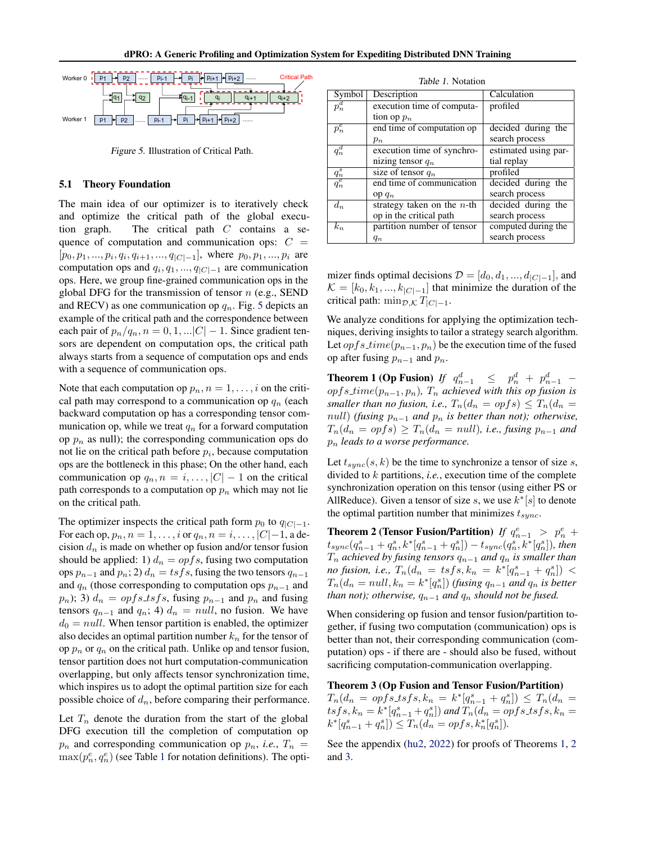<span id="page-5-0"></span>

Figure 5. Illustration of Critical Path.

#### 5.1 Theory Foundation

The main idea of our optimizer is to iteratively check and optimize the critical path of the global execution graph. The critical path C contains a sequence of computation and communication ops:  $C =$  $[p_0, p_1, ..., p_i, q_i, q_{i+1}, ..., q_{|C|-1}]$ , where  $p_0, p_1, ..., p_i$  are computation ops and  $q_i, q_1, ..., q_{|C|-1}$  are communication ops. Here, we group fine-grained communication ops in the global DFG for the transmission of tensor  $n$  (e.g., SEND and RECV) as one communication op  $q_n$ . Fig. 5 depicts an example of the critical path and the correspondence between each pair of  $p_n/q_n$ ,  $n = 0, 1, \ldots |C|-1$ . Since gradient tensors are dependent on computation ops, the critical path always starts from a sequence of computation ops and ends with a sequence of communication ops.

Note that each computation op  $p_n$ ,  $n = 1, \ldots, i$  on the critical path may correspond to a communication op  $q_n$  (each backward computation op has a corresponding tensor communication op, while we treat  $q_n$  for a forward computation op  $p_n$  as null); the corresponding communication ops do not lie on the critical path before  $p_i$ , because computation ops are the bottleneck in this phase; On the other hand, each communication op  $q_n, n = i, \ldots, |C| - 1$  on the critical path corresponds to a computation op  $p_n$  which may not lie on the critical path.

The optimizer inspects the critical path form  $p_0$  to  $q_{|C|=1}$ . For each op,  $p_n, n = 1, \ldots, i$  or  $q_n, n = i, \ldots, |C|-1$ , a decision  $d_n$  is made on whether op fusion and/or tensor fusion should be applied: 1)  $d_n = \text{opfs}$ , fusing two computation ops  $p_{n-1}$  and  $p_n$ ; 2)  $d_n = tsfs$ , fusing the two tensors  $q_{n-1}$ and  $q_n$  (those corresponding to computation ops  $p_{n-1}$  and  $p_n$ ); 3)  $d_n = \text{opfs}\_tsfs$ , fusing  $p_{n-1}$  and  $p_n$  and fusing tensors  $q_{n-1}$  and  $q_n$ ; 4)  $d_n = null$ , no fusion. We have  $d_0 = null$ . When tensor partition is enabled, the optimizer also decides an optimal partition number  $k_n$  for the tensor of op  $p_n$  or  $q_n$  on the critical path. Unlike op and tensor fusion, tensor partition does not hurt computation-communication overlapping, but only affects tensor synchronization time, which inspires us to adopt the optimal partition size for each possible choice of  $d_n$ , before comparing their performance.

Let  $T_n$  denote the duration from the start of the global DFG execution till the completion of computation op  $p_n$  and corresponding communication op  $p_n$ , *i.e.*,  $T_n$  =  $\max(p_n^e, q_n^e)$  (see Table 1 for notation definitions). The opti-

Table 1. Notation Symbol Description | Calculation  $p_n^d$ execution time of computation op  $p_n$ profiled  $p_n^e$ end time of computation op  $p_n$ decided during the search process  $q_n^d$ execution time of synchronizing tensor  $q_n$ estimated using partial replay q s size of tensor  $q_n$  | profiled  $\bar{\overline{q}_n^e}$ end time of communication op q<sup>n</sup> decided during the search process  $d_n$  strategy taken on the *n*-th op in the critical path decided during the search process  $k_n$  | partition number of tensor computed during the search process

mizer finds optimal decisions  $\mathcal{D} = [d_0, d_1, ..., d_{|C|-1}]$ , and  $\mathcal{K} = [k_0, k_1, ..., k_{|C|-1}]$  that minimize the duration of the critical path: min $_{\mathcal{D},\mathcal{K}} T_{|C|-1}$ .

 $q_n$ 

We analyze conditions for applying the optimization techniques, deriving insights to tailor a strategy search algorithm. Let  $opfs_time(p_{n-1}, p_n)$  be the execution time of the fused op after fusing  $p_{n-1}$  and  $p_n$ .

**Theorem 1 (Op Fusion)** *If*  $q_{n-1}^d$   $\leq$   $p_n^d$  +  $p_{n-1}^d$  – opfs time(pn−1, pn)*,* T<sup>n</sup> *achieved with this op fusion is smaller than no fusion, i.e.,*  $T_n(d_n = opfs) \leq T_n(d_n =$ null) *(fusing*  $p_{n-1}$  *and*  $p_n$  *is better than not); otherwise,*  $T_n(d_n = opfs) \geq T_n(d_n = null)$ , *i.e., fusing*  $p_{n-1}$  *and*  $p_n$  *leads to a worse performance.* 

Let  $t_{sunc}(s, k)$  be the time to synchronize a tensor of size s, divided to k partitions, *i.e.*, execution time of the complete synchronization operation on this tensor (using either PS or AllReduce). Given a tensor of size s, we use  $k^*[s]$  to denote the optimal partition number that minimizes  $t_{sync}$ .

**Theorem 2 (Tensor Fusion/Partition)** *If*  $q_{n-1}^e > p_n^e$  +  $t_{sync}(q_{n-1}^s + q_n^s, k^*[q_{n-1}^s + q_n^s]) - t_{sync}(q_n^s, k^*[q_n^s]),$  then  $T_n$  achieved by fusing tensors  $q_{n-1}$  and  $q_n$  is smaller than *no fusion, i.e.,*  $T_n(d_n = tsfs, k_n = k^* [q_{n-1}^s + q_n^s])$  <  $T_n(d_n = null, k_n = k^* [q_n^s])$  (fusing  $q_{n-1}$  and  $q_n$  is better *than not); otherwise,*  $q_{n-1}$  *and*  $q_n$  *should not be fused.* 

When considering op fusion and tensor fusion/partition together, if fusing two computation (communication) ops is better than not, their corresponding communication (computation) ops - if there are - should also be fused, without sacrificing computation-communication overlapping.

#### Theorem 3 (Op Fusion and Tensor Fusion/Partition)

 $T_n(d_n = \text{opfs} \text{1sfs}, k_n = k^* [q_{n-1}^s + q_n^s]) \leq T_n(d_n =$  $t s f s, k_n = k^* [q_{n-1}^s + q_n^s]$  and  $T_n(d_n = \text{op} f s \text{.} ts f s, k_n =$  $k^*[q_{n-1}^s + q_n^s] \leq T_n(d_n = opfs, k_n^*[q_n^s]).$ 

See the appendix [\(hu2,](#page-10-0) [2022\)](#page-10-0) for proofs of Theorems 1, 2 and 3.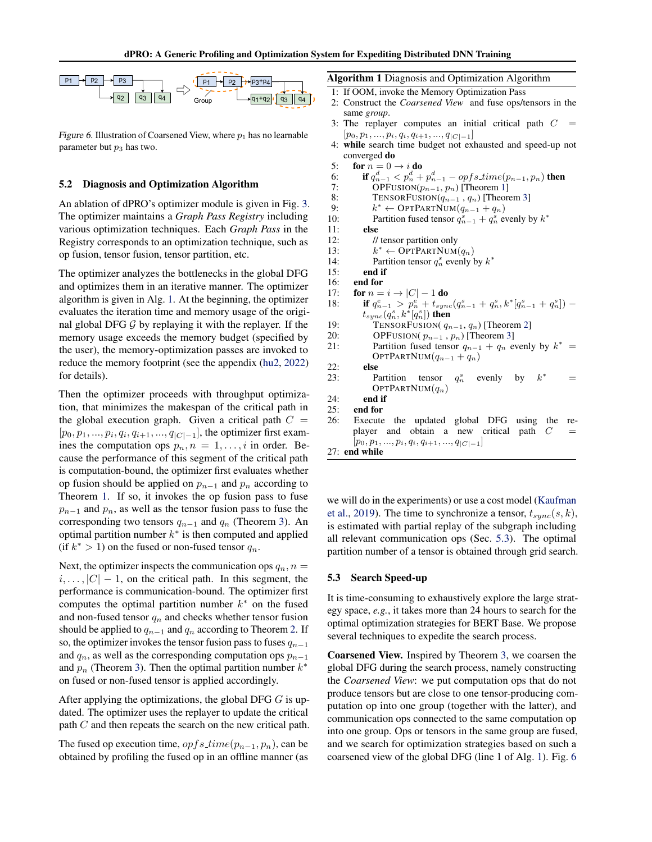<span id="page-6-0"></span>

Figure 6. Illustration of Coarsened View, where  $p_1$  has no learnable parameter but  $p_3$  has two.

#### 5.2 Diagnosis and Optimization Algorithm

An ablation of dPRO's optimizer module is given in Fig. [3.](#page-3-0) The optimizer maintains a *Graph Pass Registry* including various optimization techniques. Each *Graph Pass* in the Registry corresponds to an optimization technique, such as op fusion, tensor fusion, tensor partition, etc.

The optimizer analyzes the bottlenecks in the global DFG and optimizes them in an iterative manner. The optimizer algorithm is given in Alg. 1. At the beginning, the optimizer evaluates the iteration time and memory usage of the original global DFG  $G$  by replaying it with the replayer. If the memory usage exceeds the memory budget (specified by the user), the memory-optimization passes are invoked to reduce the memory footprint (see the appendix [\(hu2,](#page-10-0) [2022\)](#page-10-0) for details).

Then the optimizer proceeds with throughput optimization, that minimizes the makespan of the critical path in the global execution graph. Given a critical path  $C =$  $[p_0, p_1, ..., p_i, q_i, q_{i+1}, ..., q_{|C|-1}]$ , the optimizer first examines the computation ops  $p_n, n = 1, \ldots, i$  in order. Because the performance of this segment of the critical path is computation-bound, the optimizer first evaluates whether op fusion should be applied on  $p_{n-1}$  and  $p_n$  according to Theorem [1.](#page-5-0) If so, it invokes the op fusion pass to fuse  $p_{n-1}$  and  $p_n$ , as well as the tensor fusion pass to fuse the corresponding two tensors  $q_{n-1}$  and  $q_n$  (Theorem [3\)](#page-5-0). An optimal partition number  $k^*$  is then computed and applied (if  $k^* > 1$ ) on the fused or non-fused tensor  $q_n$ .

Next, the optimizer inspects the communication ops  $q_n$ ,  $n =$  $i, \ldots, |C| - 1$ , on the critical path. In this segment, the performance is communication-bound. The optimizer first computes the optimal partition number  $k^*$  on the fused and non-fused tensor  $q_n$  and checks whether tensor fusion should be applied to  $q_{n-1}$  and  $q_n$  according to Theorem [2.](#page-5-0) If so, the optimizer invokes the tensor fusion pass to fuses  $q_{n-1}$ and  $q_n$ , as well as the corresponding computation ops  $p_{n-1}$ and  $p_n$  (Theorem [3\)](#page-5-0). Then the optimal partition number  $k^*$ on fused or non-fused tensor is applied accordingly.

After applying the optimizations, the global DFG  $G$  is updated. The optimizer uses the replayer to update the critical path C and then repeats the search on the new critical path.

The fused op execution time,  $opfs_time(p_{n-1}, p_n)$ , can be obtained by profiling the fused op in an offline manner (as Algorithm 1 Diagnosis and Optimization Algorithm

- 1: If OOM, invoke the Memory Optimization Pass
- 2: Construct the *Coarsened View* and fuse ops/tensors in the same *group*.
- 3: The replayer computes an initial critical path  $C =$  $[p_0, p_1, \ldots, p_i, q_i, q_{i+1}, \ldots, q_{|C|-1}]$
- 4: while search time budget not exhausted and speed-up not converged do

5: for  $n = 0 \rightarrow i$  do  $\mathbf{e} \cdot d$  $onfs~time(n_1,n_1)$  then

$$
\textbf{if } q_{n-1}^d < p_n^d + p_{n-1}^d - \text{opf} s.time(p_{n-1}, p_n) \textbf{ then }
$$

7: OPFUSION $(p_{n-1}, p_n)$  [Theorem [1\]](#page-5-0)

8: TENSORFUSION( $q_{n-1}, q_n$ ) [Theorem [3\]](#page-5-0)<br>9:  $k^* \leftarrow \text{OPTPARTNUM}(q_{n-1} + q_n)$ 

```
9: k^* \leftarrow \text{OPTPARTNUM}(q_{n-1} + q_n)10: Partition fused tensor q_{n-1}^s + q_n^s evenly by k^*
```

```
11: else
```
12: // tensor partition only

 $k^* \leftarrow \widehat{\text{OPTPATHNUM}(q_n)}$ 

14: Partition tensor 
$$
q_n^s
$$
 evenly by  $k^*$ 

15: end if

## 16: end for

 $6:$ 

 $\frac{13}{14}$ :

- 17: for  $n = i \rightarrow |C| 1$  do 18: **if**  $q_{n-1}^e > p_n^e + t_{sync}(q_{n-1}^s + q_n^s, k^*[q_{n-1}^s + q_n^s])$  –  $t_{sync}(q^{s}_{n},k^{*}[\overset{\_}{q^{s}_{n}}])$  then 19: TENSORFUSION( $q_{n-1}, q_n$ ) [Theorem [2\]](#page-5-0)
- 20: OPFUSION( $p_{n-1}$ ,  $p_n$ ) [Theorem [3\]](#page-5-0)
- 21: Partition fused tensor  $q_{n-1} + q_n$  evenly by  $k^* =$ OPTPARTNUM $(q_{n-1} + q_n)$
- 22: else
- 23: Partition tensor  $q_n^s$ evenly by  $k^2$  $=$ OPTPARTNUM $(q_n)$
- 24: end if
- 25: end for
- 26: Execute the updated global DFG using the replayer and obtain a new critical path  $C =$  $[p_0, p_1, ..., p_i, q_i, q_{i+1}, ..., q_{|C|-1}]$
- 27: end while

we will do in the experiments) or use a cost model [\(Kaufman](#page-11-0) [et al.,](#page-11-0) [2019\)](#page-11-0). The time to synchronize a tensor,  $t_{sync}(s, k)$ , is estimated with partial replay of the subgraph including all relevant communication ops (Sec. 5.3). The optimal partition number of a tensor is obtained through grid search.

#### 5.3 Search Speed-up

It is time-consuming to exhaustively explore the large strategy space, *e.g.*, it takes more than 24 hours to search for the optimal optimization strategies for BERT Base. We propose several techniques to expedite the search process.

Coarsened View. Inspired by Theorem [3,](#page-5-0) we coarsen the global DFG during the search process, namely constructing the *Coarsened View*: we put computation ops that do not produce tensors but are close to one tensor-producing computation op into one group (together with the latter), and communication ops connected to the same computation op into one group. Ops or tensors in the same group are fused, and we search for optimization strategies based on such a coarsened view of the global DFG (line 1 of Alg. 1). Fig. 6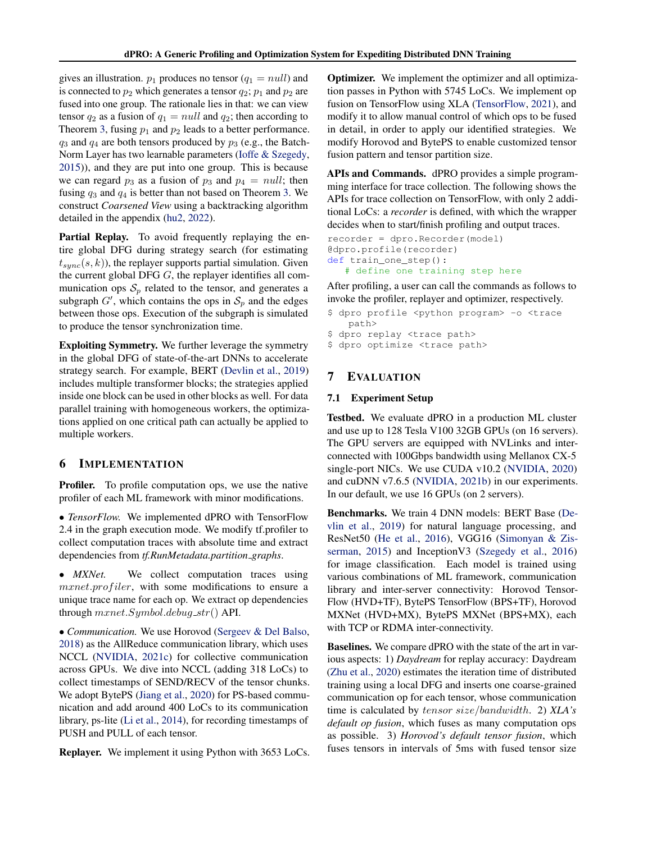<span id="page-7-0"></span>gives an illustration.  $p_1$  produces no tensor  $(q_1 = null)$  and is connected to  $p_2$  which generates a tensor  $q_2$ ;  $p_1$  and  $p_2$  are fused into one group. The rationale lies in that: we can view tensor  $q_2$  as a fusion of  $q_1 = null$  and  $q_2$ ; then according to Theorem [3,](#page-5-0) fusing  $p_1$  and  $p_2$  leads to a better performance.  $q_3$  and  $q_4$  are both tensors produced by  $p_3$  (e.g., the Batch-Norm Layer has two learnable parameters [\(Ioffe & Szegedy,](#page-11-0) [2015\)](#page-11-0)), and they are put into one group. This is because we can regard  $p_3$  as a fusion of  $p_3$  and  $p_4 = null$ ; then fusing  $q_3$  and  $q_4$  is better than not based on Theorem [3.](#page-5-0) We construct *Coarsened View* using a backtracking algorithm detailed in the appendix [\(hu2,](#page-10-0) [2022\)](#page-10-0).

Partial Replay. To avoid frequently replaying the entire global DFG during strategy search (for estimating  $t_{sunc}(s, k)$ , the replayer supports partial simulation. Given the current global DFG  $G$ , the replayer identifies all communication ops  $S_p$  related to the tensor, and generates a subgraph  $G'$ , which contains the ops in  $S_p$  and the edges between those ops. Execution of the subgraph is simulated to produce the tensor synchronization time.

Exploiting Symmetry. We further leverage the symmetry in the global DFG of state-of-the-art DNNs to accelerate strategy search. For example, BERT [\(Devlin et al.,](#page-11-0) [2019\)](#page-11-0) includes multiple transformer blocks; the strategies applied inside one block can be used in other blocks as well. For data parallel training with homogeneous workers, the optimizations applied on one critical path can actually be applied to multiple workers.

### 6 IMPLEMENTATION

Profiler. To profile computation ops, we use the native profiler of each ML framework with minor modifications.

• *TensorFlow.* We implemented dPRO with TensorFlow 2.4 in the graph execution mode. We modify tf.profiler to collect computation traces with absolute time and extract dependencies from *tf.RunMetadata.partition graphs*.

• *MXNet*. We collect computation traces using mxnet.profiler, with some modifications to ensure a unique trace name for each op. We extract op dependencies through  $mxnet.Symbol.debug\_str()$  API.

• *Communication.* We use Horovod [\(Sergeev & Del Balso,](#page-12-0) [2018\)](#page-12-0) as the AllReduce communication library, which uses NCCL [\(NVIDIA,](#page-12-0) [2021c\)](#page-12-0) for collective communication across GPUs. We dive into NCCL (adding 318 LoCs) to collect timestamps of SEND/RECV of the tensor chunks. We adopt BytePS [\(Jiang et al.,](#page-11-0) [2020\)](#page-11-0) for PS-based communication and add around 400 LoCs to its communication library, ps-lite [\(Li et al.,](#page-11-0) [2014\)](#page-11-0), for recording timestamps of PUSH and PULL of each tensor.

Replayer. We implement it using Python with 3653 LoCs.

**Optimizer.** We implement the optimizer and all optimization passes in Python with 5745 LoCs. We implement op fusion on TensorFlow using XLA [\(TensorFlow,](#page-12-0) [2021\)](#page-12-0), and modify it to allow manual control of which ops to be fused in detail, in order to apply our identified strategies. We modify Horovod and BytePS to enable customized tensor fusion pattern and tensor partition size.

APIs and Commands. dPRO provides a simple programming interface for trace collection. The following shows the APIs for trace collection on TensorFlow, with only 2 additional LoCs: a *recorder* is defined, with which the wrapper decides when to start/finish profiling and output traces.

```
recorder = dpro.Recorder(model)
@dpro.profile(recorder)
def train_one_step():
   # define one training step here
```
After profiling, a user can call the commands as follows to invoke the profiler, replayer and optimizer, respectively.

- \$ dpro profile <python program> -o <trace path>
- \$ dpro replay <trace path>
- \$ dpro optimize <trace path>

## 7 EVALUATION

#### 7.1 Experiment Setup

Testbed. We evaluate dPRO in a production ML cluster and use up to 128 Tesla V100 32GB GPUs (on 16 servers). The GPU servers are equipped with NVLinks and interconnected with 100Gbps bandwidth using Mellanox CX-5 single-port NICs. We use CUDA v10.2 [\(NVIDIA,](#page-12-0) [2020\)](#page-12-0) and cuDNN v7.6.5 [\(NVIDIA,](#page-12-0) [2021b\)](#page-12-0) in our experiments. In our default, we use 16 GPUs (on 2 servers).

Benchmarks. We train 4 DNN models: BERT Base [\(De](#page-11-0)[vlin et al.,](#page-11-0) [2019\)](#page-11-0) for natural language processing, and ResNet50 [\(He et al.,](#page-11-0) [2016\)](#page-11-0), VGG16 [\(Simonyan & Zis](#page-12-0)[serman,](#page-12-0) [2015\)](#page-12-0) and InceptionV3 [\(Szegedy et al.,](#page-12-0) [2016\)](#page-12-0) for image classification. Each model is trained using various combinations of ML framework, communication library and inter-server connectivity: Horovod Tensor-Flow (HVD+TF), BytePS TensorFlow (BPS+TF), Horovod MXNet (HVD+MX), BytePS MXNet (BPS+MX), each with TCP or RDMA inter-connectivity.

Baselines. We compare dPRO with the state of the art in various aspects: 1) *Daydream* for replay accuracy: Daydream [\(Zhu et al.,](#page-12-0) [2020\)](#page-12-0) estimates the iteration time of distributed training using a local DFG and inserts one coarse-grained communication op for each tensor, whose communication time is calculated by tensor size/bandwidth. 2) *XLA's default op fusion*, which fuses as many computation ops as possible. 3) *Horovod's default tensor fusion*, which fuses tensors in intervals of 5ms with fused tensor size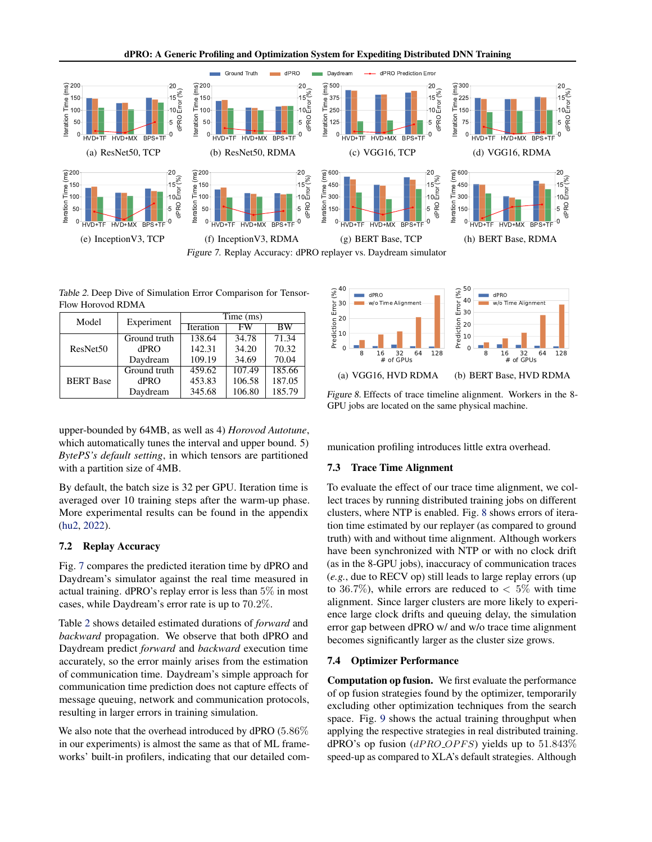

Table 2. Deep Dive of Simulation Error Comparison for Tensor-Flow Horovod RDMA

| Model                | Experiment   | Time (ms) |        |                     |  |
|----------------------|--------------|-----------|--------|---------------------|--|
|                      |              | Iteration | FW     | $\overline{\rm BW}$ |  |
| ResNet <sub>50</sub> | Ground truth | 138.64    | 34.78  | 71.34               |  |
|                      | dPRO         | 142.31    | 34.20  | 70.32               |  |
|                      | Daydream     | 109.19    | 34.69  | 70.04               |  |
| <b>BERT</b> Base     | Ground truth | 459.62    | 107.49 | 185.66              |  |
|                      | dPRO         | 453.83    | 106.58 | 187.05              |  |
|                      | Daydream     | 345.68    | 106.80 | 185.79              |  |

upper-bounded by 64MB, as well as 4) *Horovod Autotune*, which automatically tunes the interval and upper bound. 5) *BytePS's default setting*, in which tensors are partitioned with a partition size of 4MB.

By default, the batch size is 32 per GPU. Iteration time is averaged over 10 training steps after the warm-up phase. More experimental results can be found in the appendix [\(hu2,](#page-10-0) [2022\)](#page-10-0).

#### 7.2 Replay Accuracy

Fig. 7 compares the predicted iteration time by dPRO and Daydream's simulator against the real time measured in actual training. dPRO's replay error is less than 5% in most cases, while Daydream's error rate is up to 70.2%.

Table 2 shows detailed estimated durations of *forward* and *backward* propagation. We observe that both dPRO and Daydream predict *forward* and *backward* execution time accurately, so the error mainly arises from the estimation of communication time. Daydream's simple approach for communication time prediction does not capture effects of message queuing, network and communication protocols, resulting in larger errors in training simulation.

We also note that the overhead introduced by dPRO (5.86% in our experiments) is almost the same as that of ML frameworks' built-in profilers, indicating that our detailed com-



Figure 8. Effects of trace timeline alignment. Workers in the 8- GPU jobs are located on the same physical machine.

munication profiling introduces little extra overhead.

#### 7.3 Trace Time Alignment

To evaluate the effect of our trace time alignment, we collect traces by running distributed training jobs on different clusters, where NTP is enabled. Fig. 8 shows errors of iteration time estimated by our replayer (as compared to ground truth) with and without time alignment. Although workers have been synchronized with NTP or with no clock drift (as in the 8-GPU jobs), inaccuracy of communication traces (*e.g.*, due to RECV op) still leads to large replay errors (up to 36.7%), while errors are reduced to  $\lt$  5% with time alignment. Since larger clusters are more likely to experience large clock drifts and queuing delay, the simulation error gap between dPRO w/ and w/o trace time alignment becomes significantly larger as the cluster size grows.

### 7.4 Optimizer Performance

Computation op fusion. We first evaluate the performance of op fusion strategies found by the optimizer, temporarily excluding other optimization techniques from the search space. Fig. [9](#page-9-0) shows the actual training throughput when applying the respective strategies in real distributed training. dPRO's op fusion  $(dPROOPFS)$  yields up to 51.843% speed-up as compared to XLA's default strategies. Although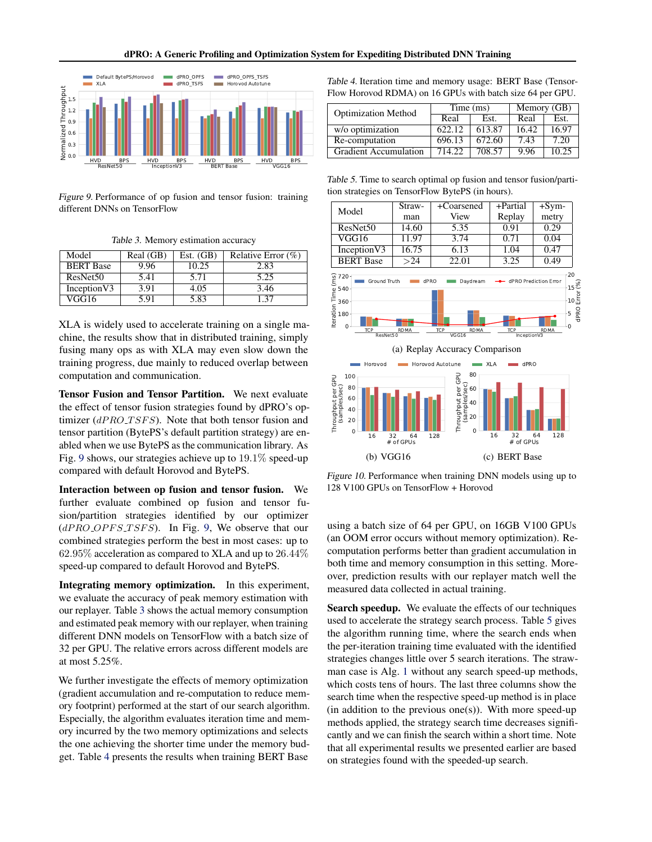<span id="page-9-0"></span>

Figure 9. Performance of op fusion and tensor fusion: training different DNNs on TensorFlow

Table 3. Memory estimation accuracy

| Model                | Real (GB) | Est. $(GB)$ | Relative Error $(\%)$ |
|----------------------|-----------|-------------|-----------------------|
| <b>BERT</b> Base     | 9.96      | 10.25       | 2.83                  |
| ResNet <sub>50</sub> | 5.41      | 5.71        | 5.25                  |
| InceptionV3          | 3.91      | 4.05        | 3.46                  |
| VGG16                | 5 91      | 5.83        | 137                   |

XLA is widely used to accelerate training on a single machine, the results show that in distributed training, simply fusing many ops as with XLA may even slow down the training progress, due mainly to reduced overlap between computation and communication.

Tensor Fusion and Tensor Partition. We next evaluate the effect of tensor fusion strategies found by dPRO's optimizer  $(dPROT SFS)$ . Note that both tensor fusion and tensor partition (BytePS's default partition strategy) are enabled when we use BytePS as the communication library. As Fig. 9 shows, our strategies achieve up to 19.1% speed-up compared with default Horovod and BytePS.

Interaction between op fusion and tensor fusion. We further evaluate combined op fusion and tensor fusion/partition strategies identified by our optimizer  $(dPROOPFSTSFS)$ . In Fig. 9, We observe that our combined strategies perform the best in most cases: up to 62.95% acceleration as compared to XLA and up to 26.44% speed-up compared to default Horovod and BytePS.

Integrating memory optimization. In this experiment, we evaluate the accuracy of peak memory estimation with our replayer. Table 3 shows the actual memory consumption and estimated peak memory with our replayer, when training different DNN models on TensorFlow with a batch size of 32 per GPU. The relative errors across different models are at most 5.25%.

We further investigate the effects of memory optimization (gradient accumulation and re-computation to reduce memory footprint) performed at the start of our search algorithm. Especially, the algorithm evaluates iteration time and memory incurred by the two memory optimizations and selects the one achieving the shorter time under the memory budget. Table 4 presents the results when training BERT Base

Table 4. Iteration time and memory usage: BERT Base (Tensor-Flow Horovod RDMA) on 16 GPUs with batch size 64 per GPU.

| <b>Optimization Method</b>   | Time (ms) |        | Memory (GB) |       |
|------------------------------|-----------|--------|-------------|-------|
|                              | Real      | Est.   | Real        | Est.  |
| w/o optimization             | 622.12    | 613.87 | 16.42       | 16.97 |
| Re-computation               | 696.13    | 672.60 | 7.43        | 7.20  |
| <b>Gradient Accumulation</b> | 714.22    | 708.57 | 9.96        | 10.25 |

Table 5. Time to search optimal op fusion and tensor fusion/partition strategies on TensorFlow BytePS (in hours).



Figure 10. Performance when training DNN models using up to 128 V100 GPUs on TensorFlow + Horovod

using a batch size of 64 per GPU, on 16GB V100 GPUs (an OOM error occurs without memory optimization). Recomputation performs better than gradient accumulation in both time and memory consumption in this setting. Moreover, prediction results with our replayer match well the measured data collected in actual training.

Search speedup. We evaluate the effects of our techniques used to accelerate the strategy search process. Table 5 gives the algorithm running time, where the search ends when the per-iteration training time evaluated with the identified strategies changes little over 5 search iterations. The strawman case is Alg. [1](#page-6-0) without any search speed-up methods, which costs tens of hours. The last three columns show the search time when the respective speed-up method is in place  $(in addition to the previous one(s))$ . With more speed-up methods applied, the strategy search time decreases significantly and we can finish the search within a short time. Note that all experimental results we presented earlier are based on strategies found with the speeded-up search.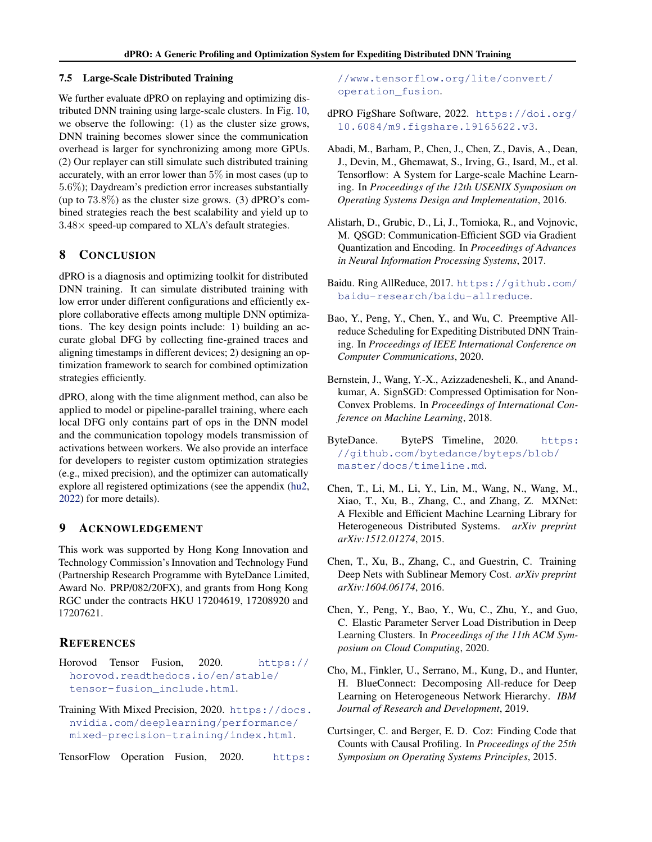#### <span id="page-10-0"></span>7.5 Large-Scale Distributed Training

We further evaluate dPRO on replaying and optimizing distributed DNN training using large-scale clusters. In Fig. [10,](#page-9-0) we observe the following: (1) as the cluster size grows, DNN training becomes slower since the communication overhead is larger for synchronizing among more GPUs. (2) Our replayer can still simulate such distributed training accurately, with an error lower than 5% in most cases (up to 5.6%); Daydream's prediction error increases substantially (up to  $73.8\%$ ) as the cluster size grows. (3) dPRO's combined strategies reach the best scalability and yield up to  $3.48\times$  speed-up compared to XLA's default strategies.

## 8 CONCLUSION

dPRO is a diagnosis and optimizing toolkit for distributed DNN training. It can simulate distributed training with low error under different configurations and efficiently explore collaborative effects among multiple DNN optimizations. The key design points include: 1) building an accurate global DFG by collecting fine-grained traces and aligning timestamps in different devices; 2) designing an optimization framework to search for combined optimization strategies efficiently.

dPRO, along with the time alignment method, can also be applied to model or pipeline-parallel training, where each local DFG only contains part of ops in the DNN model and the communication topology models transmission of activations between workers. We also provide an interface for developers to register custom optimization strategies (e.g., mixed precision), and the optimizer can automatically explore all registered optimizations (see the appendix (hu2, 2022) for more details).

## 9 ACKNOWLEDGEMENT

This work was supported by Hong Kong Innovation and Technology Commission's Innovation and Technology Fund (Partnership Research Programme with ByteDance Limited, Award No. PRP/082/20FX), and grants from Hong Kong RGC under the contracts HKU 17204619, 17208920 and 17207621.

## **REFERENCES**

- Horovod Tensor Fusion, 2020. [https://](https://horovod.readthedocs.io/en/stable/tensor-fusion_include.html) [horovod.readthedocs.io/en/stable/](https://horovod.readthedocs.io/en/stable/tensor-fusion_include.html) [tensor-fusion\\_include.html](https://horovod.readthedocs.io/en/stable/tensor-fusion_include.html).
- Training With Mixed Precision, 2020. [https://docs.](https://docs.nvidia.com/deeplearning/performance/mixed-precision-training/index.html) [nvidia.com/deeplearning/performance/](https://docs.nvidia.com/deeplearning/performance/mixed-precision-training/index.html) [mixed-precision-training/index.html](https://docs.nvidia.com/deeplearning/performance/mixed-precision-training/index.html).

TensorFlow Operation Fusion, 2020. [https:](https://www.tensorflow.org/lite/convert/operation_fusion)

[//www.tensorflow.org/lite/convert/](https://www.tensorflow.org/lite/convert/operation_fusion) [operation\\_fusion](https://www.tensorflow.org/lite/convert/operation_fusion).

- dPRO FigShare Software, 2022. [https://doi.org/](https://doi.org/10.6084/m9.figshare.19165622.v3) [10.6084/m9.figshare.19165622.v3](https://doi.org/10.6084/m9.figshare.19165622.v3).
- Abadi, M., Barham, P., Chen, J., Chen, Z., Davis, A., Dean, J., Devin, M., Ghemawat, S., Irving, G., Isard, M., et al. Tensorflow: A System for Large-scale Machine Learning. In *Proceedings of the 12th USENIX Symposium on Operating Systems Design and Implementation*, 2016.
- Alistarh, D., Grubic, D., Li, J., Tomioka, R., and Vojnovic, M. QSGD: Communication-Efficient SGD via Gradient Quantization and Encoding. In *Proceedings of Advances in Neural Information Processing Systems*, 2017.
- Baidu. Ring AllReduce, 2017. [https://github.com/](https://github.com/baidu-research/baidu-allreduce) [baidu-research/baidu-allreduce](https://github.com/baidu-research/baidu-allreduce).
- Bao, Y., Peng, Y., Chen, Y., and Wu, C. Preemptive Allreduce Scheduling for Expediting Distributed DNN Training. In *Proceedings of IEEE International Conference on Computer Communications*, 2020.
- Bernstein, J., Wang, Y.-X., Azizzadenesheli, K., and Anandkumar, A. SignSGD: Compressed Optimisation for Non-Convex Problems. In *Proceedings of International Conference on Machine Learning*, 2018.
- ByteDance. BytePS Timeline, 2020. [https:](https://github.com/bytedance/byteps/blob/master/docs/timeline.md) [//github.com/bytedance/byteps/blob/](https://github.com/bytedance/byteps/blob/master/docs/timeline.md) [master/docs/timeline.md](https://github.com/bytedance/byteps/blob/master/docs/timeline.md).
- Chen, T., Li, M., Li, Y., Lin, M., Wang, N., Wang, M., Xiao, T., Xu, B., Zhang, C., and Zhang, Z. MXNet: A Flexible and Efficient Machine Learning Library for Heterogeneous Distributed Systems. *arXiv preprint arXiv:1512.01274*, 2015.
- Chen, T., Xu, B., Zhang, C., and Guestrin, C. Training Deep Nets with Sublinear Memory Cost. *arXiv preprint arXiv:1604.06174*, 2016.
- Chen, Y., Peng, Y., Bao, Y., Wu, C., Zhu, Y., and Guo, C. Elastic Parameter Server Load Distribution in Deep Learning Clusters. In *Proceedings of the 11th ACM Symposium on Cloud Computing*, 2020.
- Cho, M., Finkler, U., Serrano, M., Kung, D., and Hunter, H. BlueConnect: Decomposing All-reduce for Deep Learning on Heterogeneous Network Hierarchy. *IBM Journal of Research and Development*, 2019.
- Curtsinger, C. and Berger, E. D. Coz: Finding Code that Counts with Causal Profiling. In *Proceedings of the 25th Symposium on Operating Systems Principles*, 2015.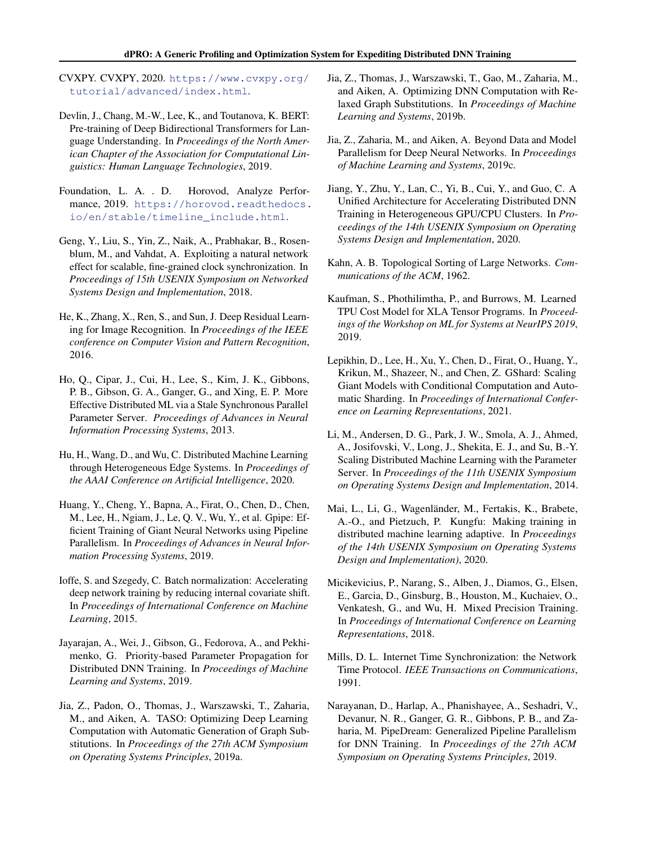<span id="page-11-0"></span>CVXPY. CVXPY, 2020. [https://www.cvxpy.org/](https://www.cvxpy.org/tutorial/advanced/index.html) [tutorial/advanced/index.html](https://www.cvxpy.org/tutorial/advanced/index.html).

- Devlin, J., Chang, M.-W., Lee, K., and Toutanova, K. BERT: Pre-training of Deep Bidirectional Transformers for Language Understanding. In *Proceedings of the North American Chapter of the Association for Computational Linguistics: Human Language Technologies*, 2019.
- Foundation, L. A. . D. Horovod, Analyze Performance, 2019. [https://horovod.readthedocs.](https://horovod.readthedocs.io/en/stable/timeline_include.html) [io/en/stable/timeline\\_include.html](https://horovod.readthedocs.io/en/stable/timeline_include.html).
- Geng, Y., Liu, S., Yin, Z., Naik, A., Prabhakar, B., Rosenblum, M., and Vahdat, A. Exploiting a natural network effect for scalable, fine-grained clock synchronization. In *Proceedings of 15th USENIX Symposium on Networked Systems Design and Implementation*, 2018.
- He, K., Zhang, X., Ren, S., and Sun, J. Deep Residual Learning for Image Recognition. In *Proceedings of the IEEE conference on Computer Vision and Pattern Recognition*, 2016.
- Ho, Q., Cipar, J., Cui, H., Lee, S., Kim, J. K., Gibbons, P. B., Gibson, G. A., Ganger, G., and Xing, E. P. More Effective Distributed ML via a Stale Synchronous Parallel Parameter Server. *Proceedings of Advances in Neural Information Processing Systems*, 2013.
- Hu, H., Wang, D., and Wu, C. Distributed Machine Learning through Heterogeneous Edge Systems. In *Proceedings of the AAAI Conference on Artificial Intelligence*, 2020.
- Huang, Y., Cheng, Y., Bapna, A., Firat, O., Chen, D., Chen, M., Lee, H., Ngiam, J., Le, Q. V., Wu, Y., et al. Gpipe: Efficient Training of Giant Neural Networks using Pipeline Parallelism. In *Proceedings of Advances in Neural Information Processing Systems*, 2019.
- Ioffe, S. and Szegedy, C. Batch normalization: Accelerating deep network training by reducing internal covariate shift. In *Proceedings of International Conference on Machine Learning*, 2015.
- Jayarajan, A., Wei, J., Gibson, G., Fedorova, A., and Pekhimenko, G. Priority-based Parameter Propagation for Distributed DNN Training. In *Proceedings of Machine Learning and Systems*, 2019.
- Jia, Z., Padon, O., Thomas, J., Warszawski, T., Zaharia, M., and Aiken, A. TASO: Optimizing Deep Learning Computation with Automatic Generation of Graph Substitutions. In *Proceedings of the 27th ACM Symposium on Operating Systems Principles*, 2019a.
- Jia, Z., Thomas, J., Warszawski, T., Gao, M., Zaharia, M., and Aiken, A. Optimizing DNN Computation with Relaxed Graph Substitutions. In *Proceedings of Machine Learning and Systems*, 2019b.
- Jia, Z., Zaharia, M., and Aiken, A. Beyond Data and Model Parallelism for Deep Neural Networks. In *Proceedings of Machine Learning and Systems*, 2019c.
- Jiang, Y., Zhu, Y., Lan, C., Yi, B., Cui, Y., and Guo, C. A Unified Architecture for Accelerating Distributed DNN Training in Heterogeneous GPU/CPU Clusters. In *Proceedings of the 14th USENIX Symposium on Operating Systems Design and Implementation*, 2020.
- Kahn, A. B. Topological Sorting of Large Networks. *Communications of the ACM*, 1962.
- Kaufman, S., Phothilimtha, P., and Burrows, M. Learned TPU Cost Model for XLA Tensor Programs. In *Proceedings of the Workshop on ML for Systems at NeurIPS 2019*, 2019.
- Lepikhin, D., Lee, H., Xu, Y., Chen, D., Firat, O., Huang, Y., Krikun, M., Shazeer, N., and Chen, Z. GShard: Scaling Giant Models with Conditional Computation and Automatic Sharding. In *Proceedings of International Conference on Learning Representations*, 2021.
- Li, M., Andersen, D. G., Park, J. W., Smola, A. J., Ahmed, A., Josifovski, V., Long, J., Shekita, E. J., and Su, B.-Y. Scaling Distributed Machine Learning with the Parameter Server. In *Proceedings of the 11th USENIX Symposium on Operating Systems Design and Implementation*, 2014.
- Mai, L., Li, G., Wagenländer, M., Fertakis, K., Brabete, A.-O., and Pietzuch, P. Kungfu: Making training in distributed machine learning adaptive. In *Proceedings of the 14th USENIX Symposium on Operating Systems Design and Implementation)*, 2020.
- Micikevicius, P., Narang, S., Alben, J., Diamos, G., Elsen, E., Garcia, D., Ginsburg, B., Houston, M., Kuchaiev, O., Venkatesh, G., and Wu, H. Mixed Precision Training. In *Proceedings of International Conference on Learning Representations*, 2018.
- Mills, D. L. Internet Time Synchronization: the Network Time Protocol. *IEEE Transactions on Communications*, 1991.
- Narayanan, D., Harlap, A., Phanishayee, A., Seshadri, V., Devanur, N. R., Ganger, G. R., Gibbons, P. B., and Zaharia, M. PipeDream: Generalized Pipeline Parallelism for DNN Training. In *Proceedings of the 27th ACM Symposium on Operating Systems Principles*, 2019.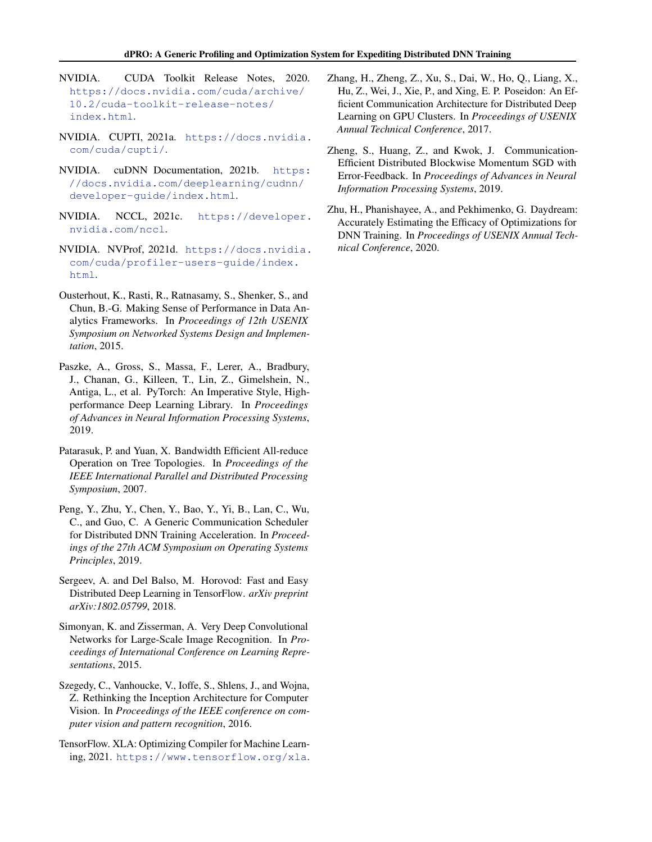- <span id="page-12-0"></span>NVIDIA. CUDA Toolkit Release Notes, 2020. [https://docs.nvidia.com/cuda/archive/](https://docs.nvidia.com/cuda/archive/10.2/cuda-toolkit-release-notes/index.html) [10.2/cuda-toolkit-release-notes/](https://docs.nvidia.com/cuda/archive/10.2/cuda-toolkit-release-notes/index.html) [index.html](https://docs.nvidia.com/cuda/archive/10.2/cuda-toolkit-release-notes/index.html).
- NVIDIA. CUPTI, 2021a. [https://docs.nvidia.](https://docs.nvidia.com/cuda/cupti/) [com/cuda/cupti/](https://docs.nvidia.com/cuda/cupti/).
- NVIDIA. cuDNN Documentation, 2021b. [https:](https://docs.nvidia.com/deeplearning/cudnn/developer-guide/index.html) [//docs.nvidia.com/deeplearning/cudnn/](https://docs.nvidia.com/deeplearning/cudnn/developer-guide/index.html) [developer-guide/index.html](https://docs.nvidia.com/deeplearning/cudnn/developer-guide/index.html).
- NVIDIA. NCCL, 2021c. [https://developer.](https://developer.nvidia.com/nccl) [nvidia.com/nccl](https://developer.nvidia.com/nccl).
- NVIDIA. NVProf, 2021d. [https://docs.nvidia.](https://docs.nvidia.com/cuda/profiler-users-guide/index.html) [com/cuda/profiler-users-guide/index.](https://docs.nvidia.com/cuda/profiler-users-guide/index.html) [html](https://docs.nvidia.com/cuda/profiler-users-guide/index.html).
- Ousterhout, K., Rasti, R., Ratnasamy, S., Shenker, S., and Chun, B.-G. Making Sense of Performance in Data Analytics Frameworks. In *Proceedings of 12th USENIX Symposium on Networked Systems Design and Implementation*, 2015.
- Paszke, A., Gross, S., Massa, F., Lerer, A., Bradbury, J., Chanan, G., Killeen, T., Lin, Z., Gimelshein, N., Antiga, L., et al. PyTorch: An Imperative Style, Highperformance Deep Learning Library. In *Proceedings of Advances in Neural Information Processing Systems*, 2019.
- Patarasuk, P. and Yuan, X. Bandwidth Efficient All-reduce Operation on Tree Topologies. In *Proceedings of the IEEE International Parallel and Distributed Processing Symposium*, 2007.
- Peng, Y., Zhu, Y., Chen, Y., Bao, Y., Yi, B., Lan, C., Wu, C., and Guo, C. A Generic Communication Scheduler for Distributed DNN Training Acceleration. In *Proceedings of the 27th ACM Symposium on Operating Systems Principles*, 2019.
- Sergeev, A. and Del Balso, M. Horovod: Fast and Easy Distributed Deep Learning in TensorFlow. *arXiv preprint arXiv:1802.05799*, 2018.
- Simonyan, K. and Zisserman, A. Very Deep Convolutional Networks for Large-Scale Image Recognition. In *Proceedings of International Conference on Learning Representations*, 2015.
- Szegedy, C., Vanhoucke, V., Ioffe, S., Shlens, J., and Wojna, Z. Rethinking the Inception Architecture for Computer Vision. In *Proceedings of the IEEE conference on computer vision and pattern recognition*, 2016.
- TensorFlow. XLA: Optimizing Compiler for Machine Learning, 2021. <https://www.tensorflow.org/xla>.
- Zhang, H., Zheng, Z., Xu, S., Dai, W., Ho, Q., Liang, X., Hu, Z., Wei, J., Xie, P., and Xing, E. P. Poseidon: An Efficient Communication Architecture for Distributed Deep Learning on GPU Clusters. In *Proceedings of USENIX Annual Technical Conference*, 2017.
- Zheng, S., Huang, Z., and Kwok, J. Communication-Efficient Distributed Blockwise Momentum SGD with Error-Feedback. In *Proceedings of Advances in Neural Information Processing Systems*, 2019.
- Zhu, H., Phanishayee, A., and Pekhimenko, G. Daydream: Accurately Estimating the Efficacy of Optimizations for DNN Training. In *Proceedings of USENIX Annual Technical Conference*, 2020.